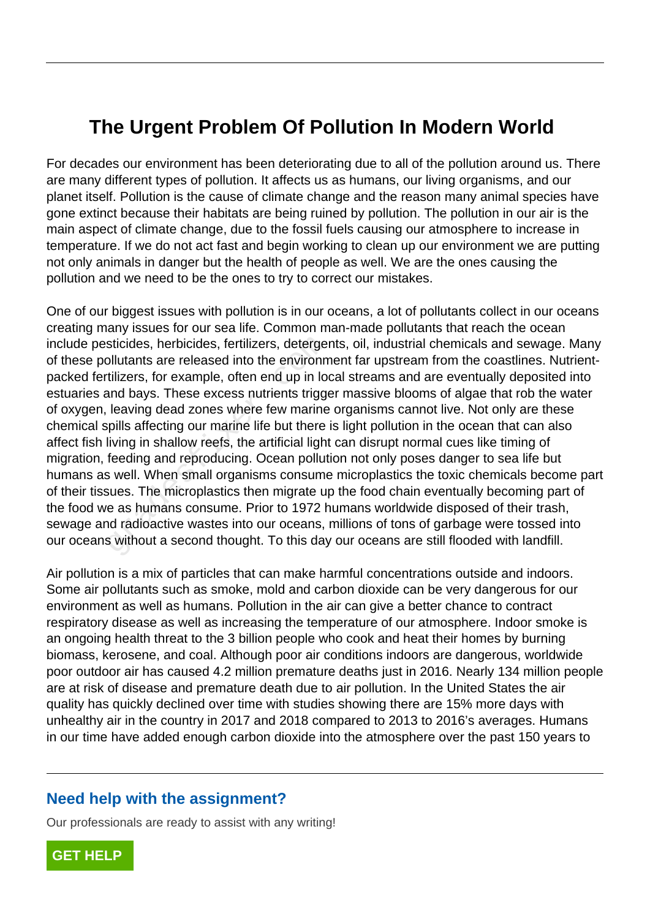## **The Urgent Problem Of Pollution In Modern World**

For decades our environment has been deteriorating due to all of the pollution around us. There are many different types of pollution. It affects us as humans, our living organisms, and our planet itself. Pollution is the cause of climate change and the reason many animal species have gone extinct because their habitats are being ruined by pollution. The pollution in our air is the main aspect of climate change, due to the fossil fuels causing our atmosphere to increase in temperature. If we do not act fast and begin working to clean up our environment we are putting not only animals in danger but the health of people as well. We are the ones causing the pollution and we need to be the ones to try to correct our mistakes.

One of our biggest issues with pollution is in our oceans, a lot of pollutants collect in our oceans creating many issues for our sea life. Common man-made pollutants that reach the ocean include pesticides, herbicides, fertilizers, detergents, oil, industrial chemicals and sewage. Many of these pollutants are released into the environment far upstream from the coastlines. Nutrientpacked fertilizers, for example, often end up in local streams and are eventually deposited into estuaries and bays. These excess nutrients trigger massive blooms of algae that rob the water of oxygen, leaving dead zones where few marine organisms cannot live. Not only are these chemical spills affecting our marine life but there is light pollution in the ocean that can also affect fish living in shallow reefs, the artificial light can disrupt normal cues like timing of migration, feeding and reproducing. Ocean pollution not only poses danger to sea life but humans as well. When small organisms consume microplastics the toxic chemicals become part of their tissues. The microplastics then migrate up the food chain eventually becoming part of the food we as humans consume. Prior to 1972 humans worldwide disposed of their trash, sewage and radioactive wastes into our oceans, millions of tons of garbage were tossed into our oceans without a second thought. To this day our oceans are still flooded with landfill. sticides, herbicides, fertilizers, detergencyllutants are released into the environm<br>tilizers, for example, often end up in love<br>and bays. These excess nutrients triggerency leaving dead zones where few marine<br>poills affec

Air pollution is a mix of particles that can make harmful concentrations outside and indoors. Some air pollutants such as smoke, mold and carbon dioxide can be very dangerous for our environment as well as humans. Pollution in the air can give a better chance to contract respiratory disease as well as increasing the temperature of our atmosphere. Indoor smoke is an ongoing health threat to the 3 billion people who cook and heat their homes by burning biomass, kerosene, and coal. Although poor air conditions indoors are dangerous, worldwide poor outdoor air has caused 4.2 million premature deaths just in 2016. Nearly 134 million people are at risk of disease and premature death due to air pollution. In the United States the air quality has quickly declined over time with studies showing there are 15% more days with unhealthy air in the country in 2017 and 2018 compared to 2013 to 2016's averages. Humans in our time have added enough carbon dioxide into the atmosphere over the past 150 years to

## **Need help with the assignment?**

Our professionals are ready to assist with any writing!

**[GET HELP](https://my.gradesfixer.com/order?utm_campaign=pdf_sample)**